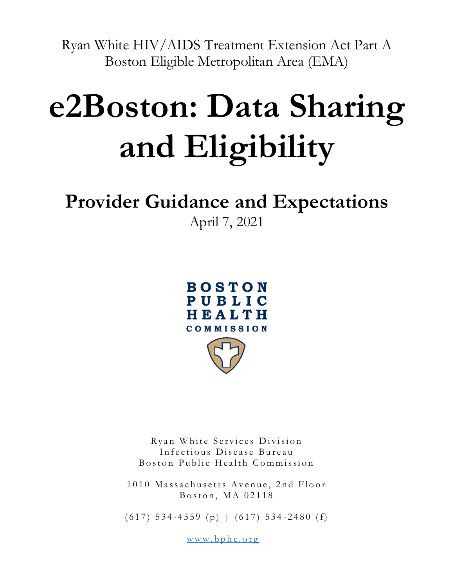Ryan White HIV/AIDS Treatment Extension Act Part A Boston Eligible Metropolitan Area (EMA)

# **e2Boston: Data Sharing and Eligibility**

## **Provider Guidance and Expectations**

April 7, 2021



Ryan White Services Division Infectious Disease Bureau Boston Public Health Commission

1010 Massachusetts Avenue, 2nd Floor Boston, MA  $02118$ 

 $(617)$  534-4559 (p) |  $(617)$  534-2480 (f)

www.bphc.org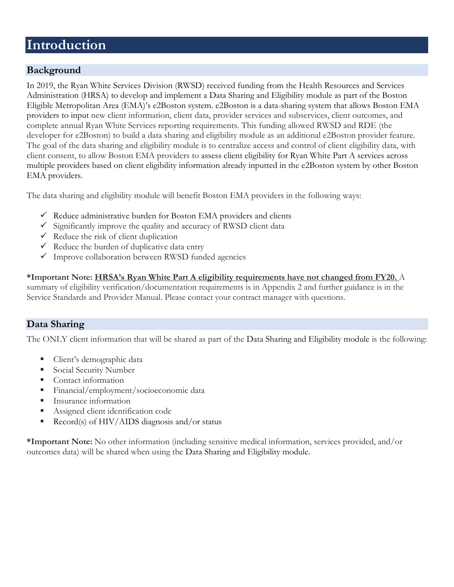## **Introduction**

#### **Background**

In 2019, the Ryan White Services Division (RWSD) received funding from the Health Resources and Services Administration (HRSA) to develop and implement a Data Sharing and Eligibility module as part of the Boston Eligible Metropolitan Area (EMA)'s e2Boston system. e2Boston is a data-sharing system that allows Boston EMA providers to input new client information, client data, provider services and subservices, client outcomes, and complete annual Ryan White Services reporting requirements. This funding allowed RWSD and RDE (the developer for e2Boston) to build a data sharing and eligibility module as an additional e2Boston provider feature. The goal of the data sharing and eligibility module is to centralize access and control of client eligibility data, with client consent, to allow Boston EMA providers to assess client eligibility for Ryan White Part A services across multiple providers based on client eligibility information already inputted in the e2Boston system by other Boston EMA providers.

The data sharing and eligibility module will benefit Boston EMA providers in the following ways:

- $\checkmark$  Reduce administrative burden for Boston EMA providers and clients
- $\checkmark$  Significantly improve the quality and accuracy of RWSD client data
- $\checkmark$  Reduce the risk of client duplication
- $\checkmark$  Reduce the burden of duplicative data entry
- $\checkmark$  Improve collaboration between RWSD funded agencies

#### **\*Important Note: HRSA's Ryan White Part A eligibility requirements have not changed from FY20.** A

summary of eligibility verification/documentation requirements is in Appendix 2 and further guidance is in the Service Standards and Provider Manual. Please contact your contract manager with questions.

#### **Data Sharing**

The ONLY client information that will be shared as part of the Data Sharing and Eligibility module is the following:

- Client's demographic data
- Social Security Number
- Contact information
- Financial/employment/socioeconomic data
- Insurance information
- Assigned client identification code
- $Record(s)$  of HIV/AIDS diagnosis and/or status

**\*Important Note:** No other information (including sensitive medical information, services provided, and/or outcomes data) will be shared when using the Data Sharing and Eligibility module.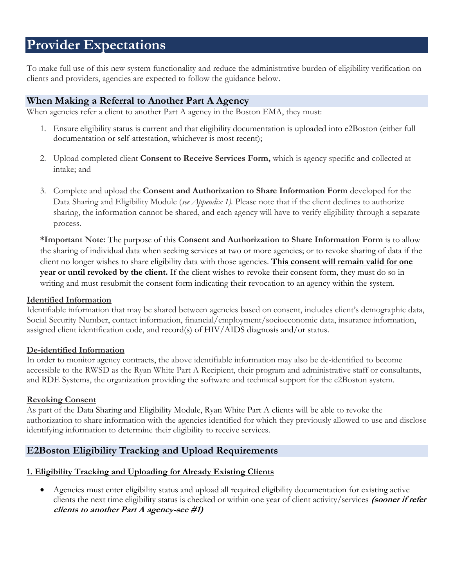## **Provider Expectations**

To make full use of this new system functionality and reduce the administrative burden of eligibility verification on clients and providers, agencies are expected to follow the guidance below.

#### **When Making a Referral to Another Part A Agency**

When agencies refer a client to another Part A agency in the Boston EMA, they must:

- 1. Ensure eligibility status is current and that eligibility documentation is uploaded into e2Boston (either full documentation or self-attestation, whichever is most recent);
- 2. Upload completed client **Consent to Receive Services Form,** which is agency specific and collected at intake; and
- 3. Complete and upload the **Consent and Authorization to Share Information Form** developed for the Data Sharing and Eligibility Module (*see Appendix 1).* Please note that if the client declines to authorize sharing, the information cannot be shared, and each agency will have to verify eligibility through a separate process.

**\*Important Note:** The purpose of this **Consent and Authorization to Share Information Form** is to allow the sharing of individual data when seeking services at two or more agencies; or to revoke sharing of data if the client no longer wishes to share eligibility data with those agencies. **This consent will remain valid for one year or until revoked by the client.** If the client wishes to revoke their consent form, they must do so in writing and must resubmit the consent form indicating their revocation to an agency within the system.

#### **Identified Information**

Identifiable information that may be shared between agencies based on consent, includes client's demographic data, Social Security Number, contact information, financial/employment/socioeconomic data, insurance information, assigned client identification code, and record(s) of HIV/AIDS diagnosis and/or status.

#### **De-identified Information**

In order to monitor agency contracts, the above identifiable information may also be de-identified to become accessible to the RWSD as the Ryan White Part A Recipient, their program and administrative staff or consultants, and RDE Systems, the organization providing the software and technical support for the e2Boston system.

#### **Revoking Consent**

As part of the Data Sharing and Eligibility Module, Ryan White Part A clients will be able to revoke the authorization to share information with the agencies identified for which they previously allowed to use and disclose identifying information to determine their eligibility to receive services.

#### **E2Boston Eligibility Tracking and Upload Requirements**

#### **1. Eligibility Tracking and Uploading for Already Existing Clients**

• Agencies must enter eligibility status and upload all required eligibility documentation for existing active clients the next time eligibility status is checked or within one year of client activity/services **(sooner if refer clients to another Part A agency-see #1)**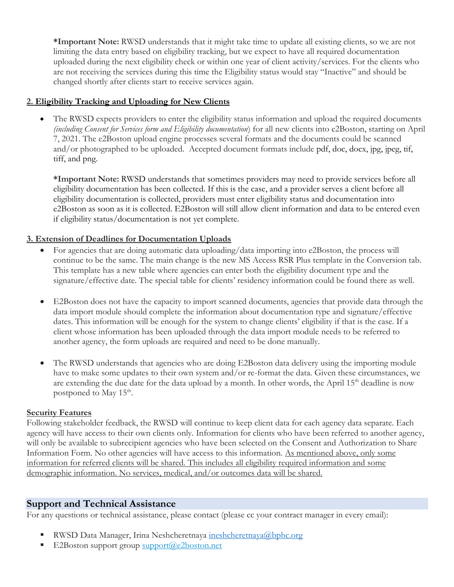**\*Important Note:** RWSD understands that it might take time to update all existing clients, so we are not limiting the data entry based on eligibility tracking, but we expect to have all required documentation uploaded during the next eligibility check or within one year of client activity/services. For the clients who are not receiving the services during this time the Eligibility status would stay "Inactive" and should be changed shortly after clients start to receive services again.

#### **2. Eligibility Tracking and Uploading for New Clients**

The RWSD expects providers to enter the eligibility status information and upload the required documents *(including Consent for Services form and Eligibility documentation*) for all new clients into e2Boston, starting on April 7, 2021. The e2Boston upload engine processes several formats and the documents could be scanned and/or photographed to be uploaded. Accepted document formats include pdf, doc, docx, jpg, jpeg, tif, tiff, and png.

**\*Important Note:** RWSD understands that sometimes providers may need to provide services before all eligibility documentation has been collected. If this is the case, and a provider serves a client before all eligibility documentation is collected, providers must enter eligibility status and documentation into e2Boston as soon as it is collected. E2Boston will still allow client information and data to be entered even if eligibility status/documentation is not yet complete.

#### **3. Extension of Deadlines for Documentation Uploads**

- For agencies that are doing automatic data uploading/data importing into e2Boston, the process will continue to be the same. The main change is the new MS Access RSR Plus template in the Conversion tab. This template has a new table where agencies can enter both the eligibility document type and the signature/effective date. The special table for clients' residency information could be found there as well.
- E2Boston does not have the capacity to import scanned documents, agencies that provide data through the data import module should complete the information about documentation type and signature/effective dates. This information will be enough for the system to change clients' eligibility if that is the case. If a client whose information has been uploaded through the data import module needs to be referred to another agency, the form uploads are required and need to be done manually.
- The RWSD understands that agencies who are doing E2Boston data delivery using the importing module have to make some updates to their own system and/or re-format the data. Given these circumstances, we are extending the due date for the data upload by a month. In other words, the April 15<sup>th</sup> deadline is now postponed to May 15<sup>th</sup>.

#### **Security Features**

Following stakeholder feedback, the RWSD will continue to keep client data for each agency data separate. Each agency will have access to their own clients only. Information for clients who have been referred to another agency, will only be available to subrecipient agencies who have been selected on the Consent and Authorization to Share Information Form. No other agencies will have access to this information. As mentioned above, only some information for referred clients will be shared. This includes all eligibility required information and some demographic information. No services, medical, and/or outcomes data will be shared.

#### **Support and Technical Assistance**

For any questions or technical assistance, please contact (please cc your contract manager in every email):

- RWSD Data Manager, Irina Neshcheretnaya [ineshcheretnaya@bphc.org](mailto:ineshcheretnaya@bphc.org)
- E2Boston support group [support@e2boston.net](mailto:support@e2boston.net)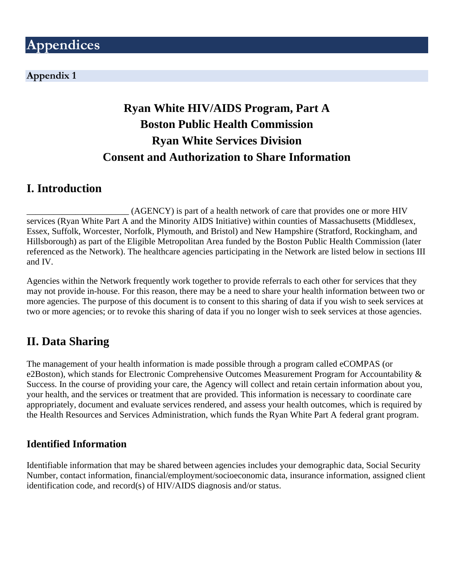#### **Appendix 1**

## **Ryan White HIV/AIDS Program, Part A Boston Public Health Commission Ryan White Services Division Consent and Authorization to Share Information**

## **I. Introduction**

(AGENCY) is part of a health network of care that provides one or more HIV services (Ryan White Part A and the Minority AIDS Initiative) within counties of Massachusetts (Middlesex, Essex, Suffolk, Worcester, Norfolk, Plymouth, and Bristol) and New Hampshire (Stratford, Rockingham, and Hillsborough) as part of the Eligible Metropolitan Area funded by the Boston Public Health Commission (later referenced as the Network). The healthcare agencies participating in the Network are listed below in sections III and IV.

Agencies within the Network frequently work together to provide referrals to each other for services that they may not provide in-house. For this reason, there may be a need to share your health information between two or more agencies. The purpose of this document is to consent to this sharing of data if you wish to seek services at two or more agencies; or to revoke this sharing of data if you no longer wish to seek services at those agencies.

## **II. Data Sharing**

The management of your health information is made possible through a program called eCOMPAS (or e2Boston), which stands for Electronic Comprehensive Outcomes Measurement Program for Accountability & Success. In the course of providing your care, the Agency will collect and retain certain information about you, your health, and the services or treatment that are provided. This information is necessary to coordinate care appropriately, document and evaluate services rendered, and assess your health outcomes, which is required by the Health Resources and Services Administration, which funds the Ryan White Part A federal grant program.

#### **Identified Information**

Identifiable information that may be shared between agencies includes your demographic data, Social Security Number, contact information, financial/employment/socioeconomic data, insurance information, assigned client identification code, and record(s) of HIV/AIDS diagnosis and/or status.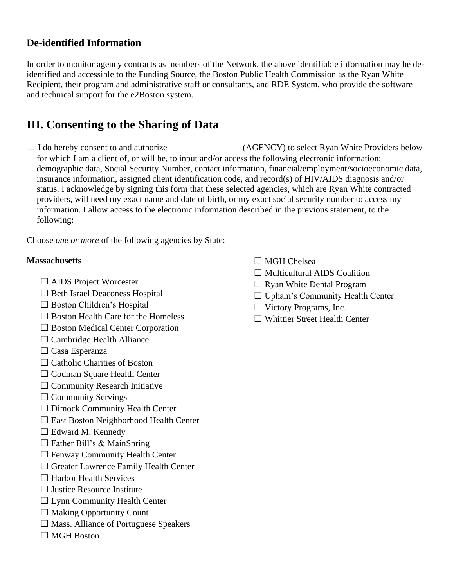#### **De-identified Information**

In order to monitor agency contracts as members of the Network, the above identifiable information may be deidentified and accessible to the Funding Source, the Boston Public Health Commission as the Ryan White Recipient, their program and administrative staff or consultants, and RDE System, who provide the software and technical support for the e2Boston system.

## **III. Consenting to the Sharing of Data**

☐ I do hereby consent to and authorize \_\_\_\_\_\_\_\_\_\_\_\_\_\_\_\_ (AGENCY) to select Ryan White Providers below for which I am a client of, or will be, to input and/or access the following electronic information: demographic data, Social Security Number, contact information, financial/employment/socioeconomic data, insurance information, assigned client identification code, and record(s) of HIV/AIDS diagnosis and/or status. I acknowledge by signing this form that these selected agencies, which are Ryan White contracted providers, will need my exact name and date of birth, or my exact social security number to access my information. I allow access to the electronic information described in the previous statement, to the following:

Choose *one or more* of the following agencies by State:

#### **Massachusetts**

- □ AIDS Project Worcester
- □ Beth Israel Deaconess Hospital
- □ Boston Children's Hospital
- $\Box$  Boston Health Care for the Homeless
- □ Boston Medical Center Corporation
- $\Box$  Cambridge Health Alliance
- □ Casa Esperanza
- □ Catholic Charities of Boston
- □ Codman Square Health Center
- $\Box$  Community Research Initiative
- $\Box$  Community Servings
- ☐ Dimock Community Health Center
- ☐ East Boston Neighborhood Health Center
- □ Edward M. Kennedy
- $\Box$  Father Bill's & MainSpring
- $\Box$  Fenway Community Health Center
- ☐ Greater Lawrence Family Health Center
- □ Harbor Health Services
- $\Box$  Justice Resource Institute
- ☐ Lynn Community Health Center
- $\Box$  Making Opportunity Count
- $\Box$  Mass. Alliance of Portuguese Speakers
- ☐ MGH Boston
- □ MGH Chelsea
- $\Box$  Multicultural AIDS Coalition
- $\Box$  Ryan White Dental Program
- □ Upham's Community Health Center
- ☐ Victory Programs, Inc.
- ☐ Whittier Street Health Center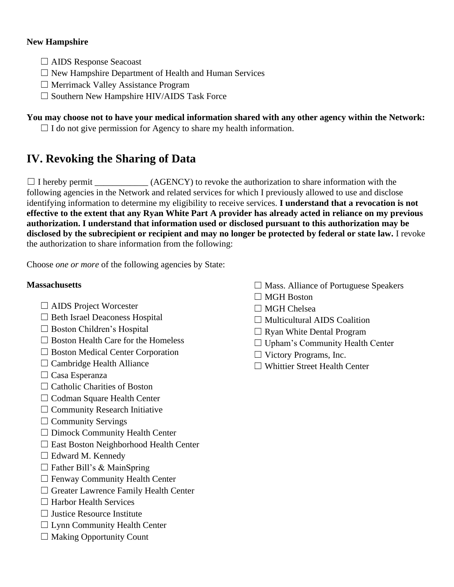#### **New Hampshire**

- ☐ AIDS Response Seacoast
- ☐ New Hampshire Department of Health and Human Services
- ☐ Merrimack Valley Assistance Program
- ☐ Southern New Hampshire HIV/AIDS Task Force

#### **You may choose not to have your medical information shared with any other agency within the Network:**

 $\Box$  I do not give permission for Agency to share my health information.

## **IV. Revoking the Sharing of Data**

 $\Box$  I hereby permit \_\_\_\_\_\_\_\_\_\_\_\_\_ (AGENCY) to revoke the authorization to share information with the following agencies in the Network and related services for which I previously allowed to use and disclose identifying information to determine my eligibility to receive services. **I understand that a revocation is not effective to the extent that any Ryan White Part A provider has already acted in reliance on my previous authorization. I understand that information used or disclosed pursuant to this authorization may be disclosed by the subrecipient or recipient and may no longer be protected by federal or state law.** I revoke the authorization to share information from the following:

Choose *one or more* of the following agencies by State:

#### **Massachusetts**

- ☐ AIDS Project Worcester
- □ Beth Israel Deaconess Hospital
- □ Boston Children's Hospital
- $\Box$  Boston Health Care for the Homeless
- ☐ Boston Medical Center Corporation
- $\Box$  Cambridge Health Alliance
- □ Casa Esperanza
- □ Catholic Charities of Boston
- □ Codman Square Health Center
- $\Box$  Community Research Initiative
- $\Box$  Community Servings
- ☐ Dimock Community Health Center
- ☐ East Boston Neighborhood Health Center
- $\Box$  Edward M. Kennedy
- $\Box$  Father Bill's & MainSpring
- ☐ Fenway Community Health Center
- ☐ Greater Lawrence Family Health Center
- □ Harbor Health Services
- $\Box$  Justice Resource Institute
- $\Box$  Lynn Community Health Center
- $\Box$  Making Opportunity Count
- $\Box$  Mass. Alliance of Portuguese Speakers
- ☐ MGH Boston
- □ MGH Chelsea
- $\Box$  Multicultural AIDS Coalition
- $\Box$  Ryan White Dental Program
- □ Upham's Community Health Center
- ☐ Victory Programs, Inc.
- ☐ Whittier Street Health Center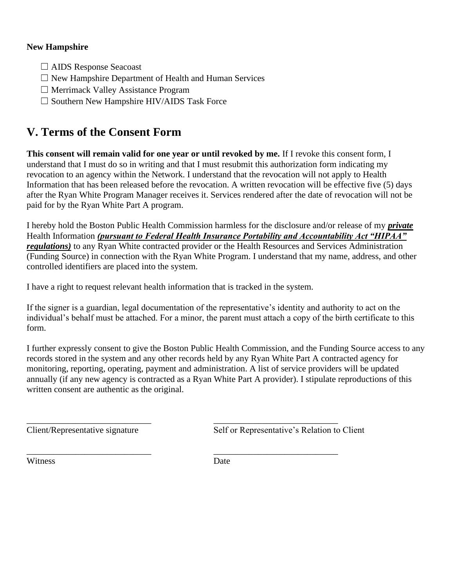#### **New Hampshire**

- ☐ AIDS Response Seacoast
- $\Box$  New Hampshire Department of Health and Human Services
- ☐ Merrimack Valley Assistance Program
- $\Box$  Southern New Hampshire HIV/AIDS Task Force

## **V. Terms of the Consent Form**

**This consent will remain valid for one year or until revoked by me.** If I revoke this consent form, I understand that I must do so in writing and that I must resubmit this authorization form indicating my revocation to an agency within the Network. I understand that the revocation will not apply to Health Information that has been released before the revocation. A written revocation will be effective five (5) days after the Ryan White Program Manager receives it. Services rendered after the date of revocation will not be paid for by the Ryan White Part A program.

I hereby hold the Boston Public Health Commission harmless for the disclosure and/or release of my *private* Health Information *(pursuant to Federal Health Insurance Portability and Accountability Act "HIPAA" regulations)* to any Ryan White contracted provider or the Health Resources and Services Administration (Funding Source) in connection with the Ryan White Program. I understand that my name, address, and other controlled identifiers are placed into the system.

I have a right to request relevant health information that is tracked in the system.

If the signer is a guardian, legal documentation of the representative's identity and authority to act on the individual's behalf must be attached. For a minor, the parent must attach a copy of the birth certificate to this form.

I further expressly consent to give the Boston Public Health Commission, and the Funding Source access to any records stored in the system and any other records held by any Ryan White Part A contracted agency for monitoring, reporting, operating, payment and administration. A list of service providers will be updated annually (if any new agency is contracted as a Ryan White Part A provider). I stipulate reproductions of this written consent are authentic as the original.

\_\_\_\_\_\_\_\_\_\_\_\_\_\_\_\_\_\_\_\_\_\_\_\_\_\_\_\_ \_\_\_\_\_\_\_\_\_\_\_\_\_\_\_\_\_\_\_\_\_\_\_\_\_\_\_\_ Client/Representative signature Self or Representative's Relation to Client

Witness Date

\_\_\_\_\_\_\_\_\_\_\_\_\_\_\_\_\_\_\_\_\_\_\_\_\_\_\_\_ \_\_\_\_\_\_\_\_\_\_\_\_\_\_\_\_\_\_\_\_\_\_\_\_\_\_\_\_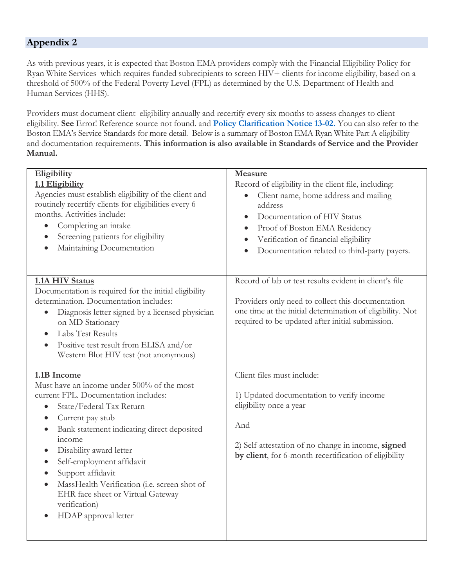#### **Appendix 2**

As with previous years, it is expected that Boston EMA providers comply with the Financial Eligibility Policy for Ryan White Services which requires funded subrecipients to screen HIV+ clients for income eligibility, based on a threshold of 500% of the Federal Poverty Level (FPL) as determined by the U.S. Department of Health and Human Services (HHS).

Providers must document client eligibility annually and recertify every six months to assess changes to client eligibility. **See** Error! Reference source not found. and **[Policy Clarification Notice 13-02.](https://hab.hrsa.gov/sites/default/files/hab/Global/pcn1302clienteligibility.pdf)** You can also refer to the Boston EMA's Service Standards for more detail. Below is a summary of Boston EMA Ryan White Part A eligibility and documentation requirements. **This information is also available in Standards of Service and the Provider Manual.**

| Eligibility                                                                                                                                                                                                                                                                                                                                                                                                                                                                                                                  | Measure                                                                                                                                                                                                                                                                        |
|------------------------------------------------------------------------------------------------------------------------------------------------------------------------------------------------------------------------------------------------------------------------------------------------------------------------------------------------------------------------------------------------------------------------------------------------------------------------------------------------------------------------------|--------------------------------------------------------------------------------------------------------------------------------------------------------------------------------------------------------------------------------------------------------------------------------|
| 1.1 Eligibility<br>Agencies must establish eligibility of the client and<br>routinely recertify clients for eligibilities every 6<br>months. Activities include:<br>Completing an intake<br>$\bullet$<br>Screening patients for eligibility<br>$\bullet$<br>Maintaining Documentation                                                                                                                                                                                                                                        | Record of eligibility in the client file, including:<br>Client name, home address and mailing<br>$\bullet$<br>address<br>Documentation of HIV Status<br>Proof of Boston EMA Residency<br>Verification of financial eligibility<br>Documentation related to third-party payers. |
| 1.1A HIV Status<br>Documentation is required for the initial eligibility<br>determination. Documentation includes:<br>Diagnosis letter signed by a licensed physician<br>$\bullet$<br>on MD Stationary<br>Labs Test Results<br>$\bullet$<br>Positive test result from ELISA and/or<br>$\bullet$<br>Western Blot HIV test (not anonymous)                                                                                                                                                                                     | Record of lab or test results evident in client's file<br>Providers only need to collect this documentation<br>one time at the initial determination of eligibility. Not<br>required to be updated after initial submission.                                                   |
| 1.1B Income<br>Must have an income under 500% of the most<br>current FPL. Documentation includes:<br>State/Federal Tax Return<br>$\bullet$<br>Current pay stub<br>$\bullet$<br>Bank statement indicating direct deposited<br>$\bullet$<br>income<br>Disability award letter<br>$\bullet$<br>Self-employment affidavit<br>$\bullet$<br>Support affidavit<br>$\bullet$<br>MassHealth Verification (i.e. screen shot of<br>$\bullet$<br>EHR face sheet or Virtual Gateway<br>verification)<br>HDAP approval letter<br>$\bullet$ | Client files must include:<br>1) Updated documentation to verify income<br>eligibility once a year<br>And<br>2) Self-attestation of no change in income, signed<br>by client, for 6-month recertification of eligibility                                                       |